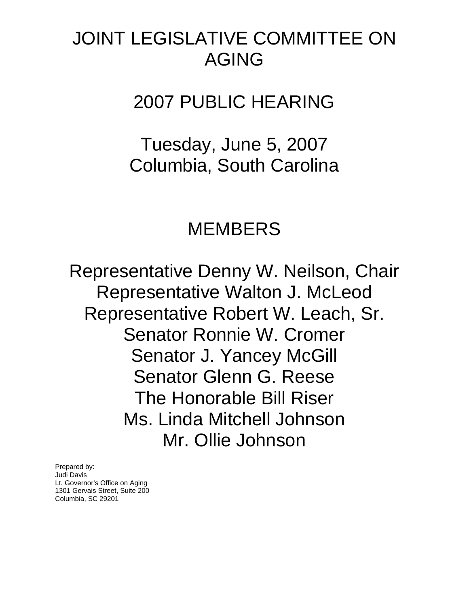# JOINT LEGISLATIVE COMMITTEE ON AGING

2007 PUBLIC HEARING

Tuesday, June 5, 2007 Columbia, South Carolina

# MEMBERS

Representative Denny W. Neilson, Chair Representative Walton J. McLeod Representative Robert W. Leach, Sr. Senator Ronnie W. Cromer Senator J. Yancey McGill Senator Glenn G. Reese The Honorable Bill Riser Ms. Linda Mitchell Johnson Mr. Ollie Johnson

Prepared by: Judi Davis Lt. Governor's Office on Aging 1301 Gervais Street, Suite 200 Columbia, SC 29201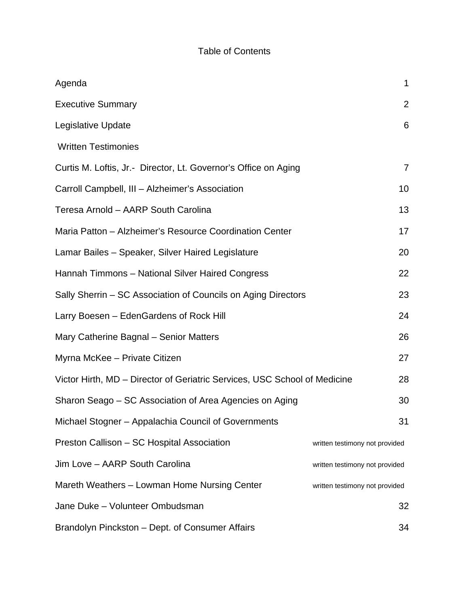## Table of Contents

| Agenda                                                                    | $\mathbf 1$                    |
|---------------------------------------------------------------------------|--------------------------------|
| <b>Executive Summary</b>                                                  | $\overline{2}$                 |
| Legislative Update                                                        | 6                              |
| <b>Written Testimonies</b>                                                |                                |
| Curtis M. Loftis, Jr.- Director, Lt. Governor's Office on Aging           | $\overline{7}$                 |
| Carroll Campbell, III - Alzheimer's Association                           | 10                             |
| Teresa Arnold - AARP South Carolina                                       | 13                             |
| Maria Patton - Alzheimer's Resource Coordination Center                   | 17                             |
| Lamar Bailes - Speaker, Silver Haired Legislature                         | 20                             |
| Hannah Timmons - National Silver Haired Congress                          | 22                             |
| Sally Sherrin - SC Association of Councils on Aging Directors             | 23                             |
| Larry Boesen - EdenGardens of Rock Hill                                   | 24                             |
| Mary Catherine Bagnal - Senior Matters                                    | 26                             |
| Myrna McKee - Private Citizen                                             | 27                             |
| Victor Hirth, MD - Director of Geriatric Services, USC School of Medicine | 28                             |
| Sharon Seago – SC Association of Area Agencies on Aging                   | 30                             |
| Michael Stogner - Appalachia Council of Governments                       | 31                             |
| Preston Callison - SC Hospital Association                                | written testimony not provided |
| Jim Love - AARP South Carolina                                            | written testimony not provided |
| Mareth Weathers - Lowman Home Nursing Center                              | written testimony not provided |
| Jane Duke - Volunteer Ombudsman                                           | 32                             |
| Brandolyn Pinckston - Dept. of Consumer Affairs                           | 34                             |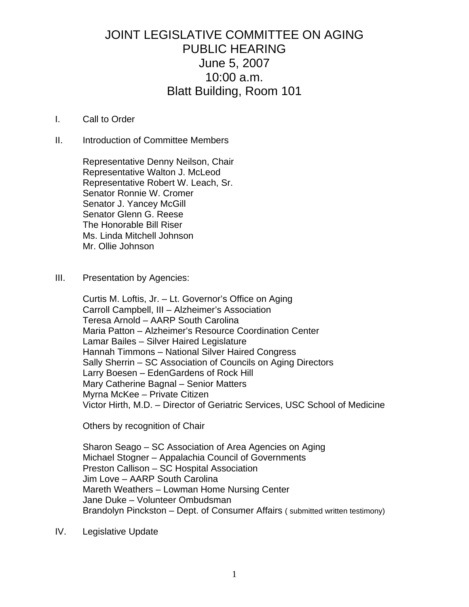## JOINT LEGISLATIVE COMMITTEE ON AGING PUBLIC HEARING June 5, 2007 10:00 a.m. Blatt Building, Room 101

#### I. Call to Order

II. Introduction of Committee Members

 Representative Denny Neilson, Chair Representative Walton J. McLeod Representative Robert W. Leach, Sr. Senator Ronnie W. Cromer Senator J. Yancey McGill Senator Glenn G. Reese The Honorable Bill Riser Ms. Linda Mitchell Johnson Mr. Ollie Johnson

III. Presentation by Agencies:

 Curtis M. Loftis, Jr. – Lt. Governor's Office on Aging Carroll Campbell, III – Alzheimer's Association Teresa Arnold – AARP South Carolina Maria Patton – Alzheimer's Resource Coordination Center Lamar Bailes – Silver Haired Legislature Hannah Timmons – National Silver Haired Congress Sally Sherrin – SC Association of Councils on Aging Directors Larry Boesen – EdenGardens of Rock Hill Mary Catherine Bagnal – Senior Matters Myrna McKee – Private Citizen Victor Hirth, M.D. – Director of Geriatric Services, USC School of Medicine

Others by recognition of Chair

 Sharon Seago – SC Association of Area Agencies on Aging Michael Stogner – Appalachia Council of Governments Preston Callison – SC Hospital Association Jim Love – AARP South Carolina Mareth Weathers – Lowman Home Nursing Center Jane Duke – Volunteer Ombudsman Brandolyn Pinckston – Dept. of Consumer Affairs ( submitted written testimony)

IV. Legislative Update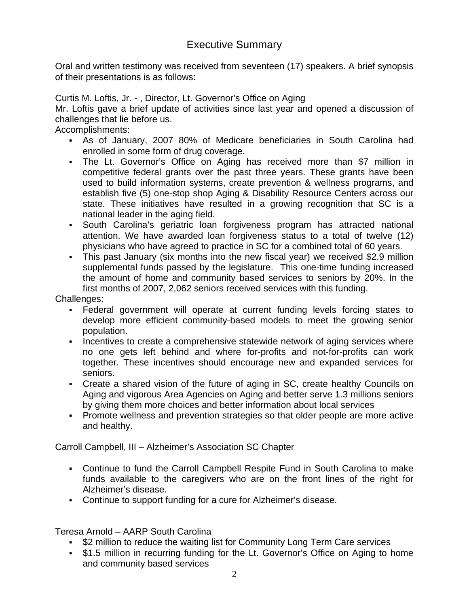## Executive Summary

Oral and written testimony was received from seventeen (17) speakers. A brief synopsis of their presentations is as follows:

Curtis M. Loftis, Jr. - , Director, Lt. Governor's Office on Aging

Mr. Loftis gave a brief update of activities since last year and opened a discussion of challenges that lie before us.

Accomplishments:

- As of January, 2007 80% of Medicare beneficiaries in South Carolina had enrolled in some form of drug coverage.
- The Lt. Governor's Office on Aging has received more than \$7 million in competitive federal grants over the past three years. These grants have been used to build information systems, create prevention & wellness programs, and establish five (5) one-stop shop Aging & Disability Resource Centers across our state. These initiatives have resulted in a growing recognition that SC is a national leader in the aging field.
- South Carolina's geriatric loan forgiveness program has attracted national attention. We have awarded loan forgiveness status to a total of twelve (12) physicians who have agreed to practice in SC for a combined total of 60 years.
- This past January (six months into the new fiscal year) we received \$2.9 million supplemental funds passed by the legislature. This one-time funding increased the amount of home and community based services to seniors by 20%. In the first months of 2007, 2,062 seniors received services with this funding.

Challenges:

- Federal government will operate at current funding levels forcing states to develop more efficient community-based models to meet the growing senior population.
- Incentives to create a comprehensive statewide network of aging services where no one gets left behind and where for-profits and not-for-profits can work together. These incentives should encourage new and expanded services for seniors.
- Create a shared vision of the future of aging in SC, create healthy Councils on Aging and vigorous Area Agencies on Aging and better serve 1.3 millions seniors by giving them more choices and better information about local services
- Promote wellness and prevention strategies so that older people are more active and healthy.

Carroll Campbell, III – Alzheimer's Association SC Chapter

- Continue to fund the Carroll Campbell Respite Fund in South Carolina to make funds available to the caregivers who are on the front lines of the right for Alzheimer's disease.
- Continue to support funding for a cure for Alzheimer's disease.

Teresa Arnold – AARP South Carolina

- \$2 million to reduce the waiting list for Community Long Term Care services
- \$1.5 million in recurring funding for the Lt. Governor's Office on Aging to home and community based services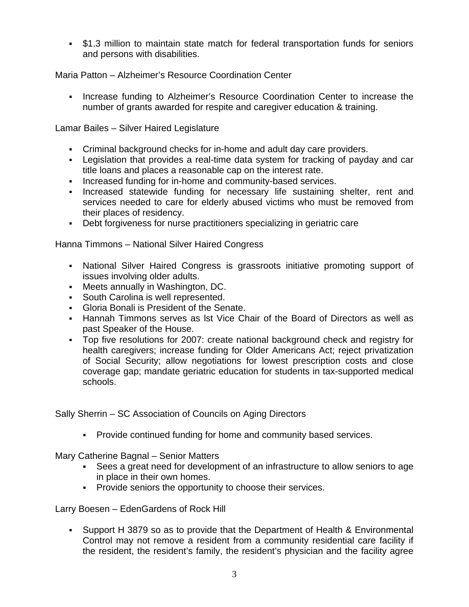\$1.3 million to maintain state match for federal transportation funds for seniors and persons with disabilities.

Maria Patton – Alzheimer's Resource Coordination Center

Increase funding to Alzheimer's Resource Coordination Center to increase the number of grants awarded for respite and caregiver education & training.

Lamar Bailes – Silver Haired Legislature

- Criminal background checks for in-home and adult day care providers.
- Legislation that provides a real-time data system for tracking of payday and car title loans and places a reasonable cap on the interest rate.
- Increased funding for in-home and community-based services.
- Increased statewide funding for necessary life sustaining shelter, rent and services needed to care for elderly abused victims who must be removed from their places of residency.
- Debt forgiveness for nurse practitioners specializing in geriatric care

Hanna Timmons – National Silver Haired Congress

- National Silver Haired Congress is grassroots initiative promoting support of issues involving older adults.
- Meets annually in Washington, DC.
- South Carolina is well represented.
- Gloria Bonali is President of the Senate.
- Hannah Timmons serves as lst Vice Chair of the Board of Directors as well as past Speaker of the House.
- Top five resolutions for 2007: create national background check and registry for health caregivers; increase funding for Older Americans Act; reject privatization of Social Security; allow negotiations for lowest prescription costs and close coverage gap; mandate geriatric education for students in tax-supported medical schools.

Sally Sherrin – SC Association of Councils on Aging Directors

Provide continued funding for home and community based services.

Mary Catherine Bagnal – Senior Matters

- Sees a great need for development of an infrastructure to allow seniors to age in place in their own homes.
- **Provide seniors the opportunity to choose their services.**

Larry Boesen – EdenGardens of Rock Hill

 Support H 3879 so as to provide that the Department of Health & Environmental Control may not remove a resident from a community residential care facility if the resident, the resident's family, the resident's physician and the facility agree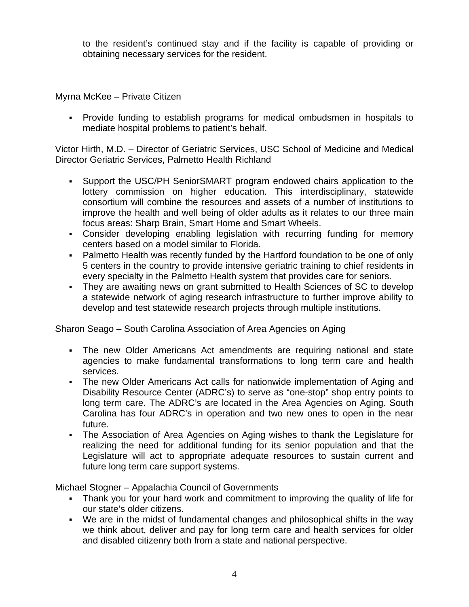to the resident's continued stay and if the facility is capable of providing or obtaining necessary services for the resident.

Myrna McKee – Private Citizen

 Provide funding to establish programs for medical ombudsmen in hospitals to mediate hospital problems to patient's behalf.

Victor Hirth, M.D. – Director of Geriatric Services, USC School of Medicine and Medical Director Geriatric Services, Palmetto Health Richland

- Support the USC/PH SeniorSMART program endowed chairs application to the lottery commission on higher education. This interdisciplinary, statewide consortium will combine the resources and assets of a number of institutions to improve the health and well being of older adults as it relates to our three main focus areas: Sharp Brain, Smart Home and Smart Wheels.
- Consider developing enabling legislation with recurring funding for memory centers based on a model similar to Florida.
- Palmetto Health was recently funded by the Hartford foundation to be one of only 5 centers in the country to provide intensive geriatric training to chief residents in every specialty in the Palmetto Health system that provides care for seniors.
- They are awaiting news on grant submitted to Health Sciences of SC to develop a statewide network of aging research infrastructure to further improve ability to develop and test statewide research projects through multiple institutions.

Sharon Seago – South Carolina Association of Area Agencies on Aging

- The new Older Americans Act amendments are requiring national and state agencies to make fundamental transformations to long term care and health services.
- The new Older Americans Act calls for nationwide implementation of Aging and Disability Resource Center (ADRC's) to serve as "one-stop" shop entry points to long term care. The ADRC's are located in the Area Agencies on Aging. South Carolina has four ADRC's in operation and two new ones to open in the near future.
- The Association of Area Agencies on Aging wishes to thank the Legislature for realizing the need for additional funding for its senior population and that the Legislature will act to appropriate adequate resources to sustain current and future long term care support systems.

Michael Stogner – Appalachia Council of Governments

- Thank you for your hard work and commitment to improving the quality of life for our state's older citizens.
- We are in the midst of fundamental changes and philosophical shifts in the way we think about, deliver and pay for long term care and health services for older and disabled citizenry both from a state and national perspective.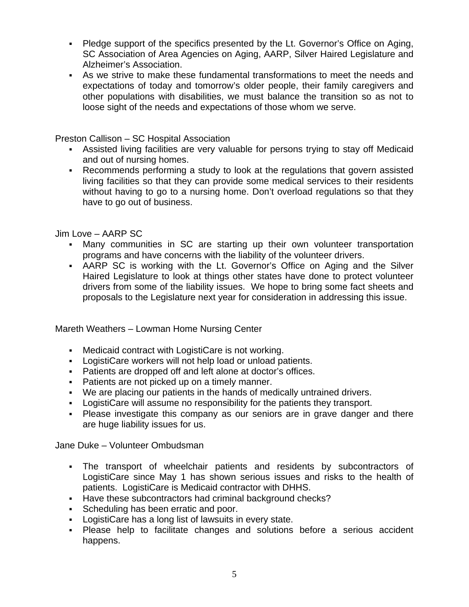- Pledge support of the specifics presented by the Lt. Governor's Office on Aging, SC Association of Area Agencies on Aging, AARP, Silver Haired Legislature and Alzheimer's Association.
- As we strive to make these fundamental transformations to meet the needs and expectations of today and tomorrow's older people, their family caregivers and other populations with disabilities, we must balance the transition so as not to loose sight of the needs and expectations of those whom we serve.

Preston Callison – SC Hospital Association

- Assisted living facilities are very valuable for persons trying to stay off Medicaid and out of nursing homes.
- Recommends performing a study to look at the regulations that govern assisted living facilities so that they can provide some medical services to their residents without having to go to a nursing home. Don't overload regulations so that they have to go out of business.

Jim Love – AARP SC

- Many communities in SC are starting up their own volunteer transportation programs and have concerns with the liability of the volunteer drivers.
- AARP SC is working with the Lt. Governor's Office on Aging and the Silver Haired Legislature to look at things other states have done to protect volunteer drivers from some of the liability issues. We hope to bring some fact sheets and proposals to the Legislature next year for consideration in addressing this issue.

Mareth Weathers – Lowman Home Nursing Center

- Medicaid contract with LogistiCare is not working.
- LogistiCare workers will not help load or unload patients.
- Patients are dropped off and left alone at doctor's offices.
- Patients are not picked up on a timely manner.
- We are placing our patients in the hands of medically untrained drivers.
- LogistiCare will assume no responsibility for the patients they transport.
- Please investigate this company as our seniors are in grave danger and there are huge liability issues for us.

Jane Duke – Volunteer Ombudsman

- The transport of wheelchair patients and residents by subcontractors of LogistiCare since May 1 has shown serious issues and risks to the health of patients. LogistiCare is Medicaid contractor with DHHS.
- Have these subcontractors had criminal background checks?
- **Scheduling has been erratic and poor.**
- LogistiCare has a long list of lawsuits in every state.
- Please help to facilitate changes and solutions before a serious accident happens.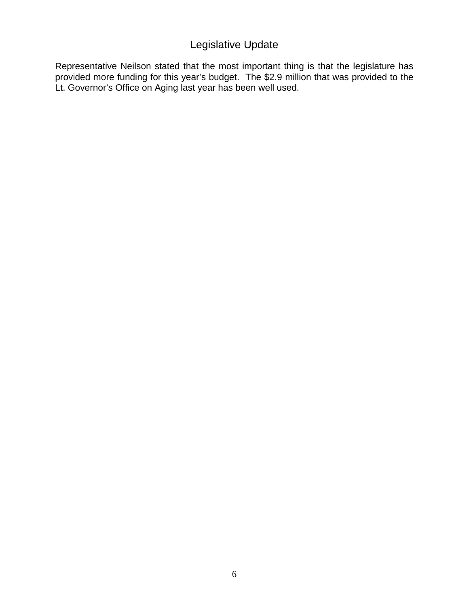## Legislative Update

Representative Neilson stated that the most important thing is that the legislature has provided more funding for this year's budget. The \$2.9 million that was provided to the Lt. Governor's Office on Aging last year has been well used.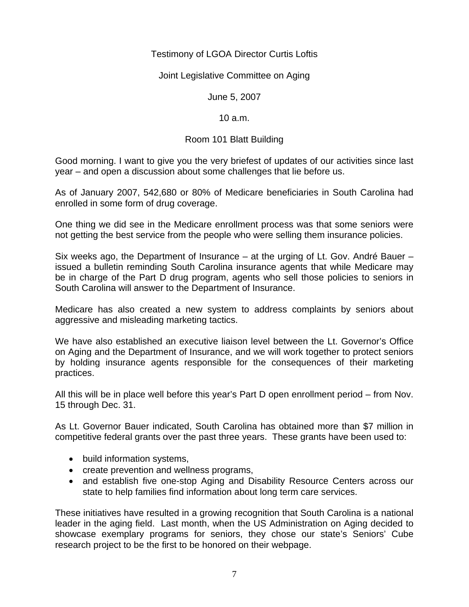#### Testimony of LGOA Director Curtis Loftis

Joint Legislative Committee on Aging

June 5, 2007

10 a.m.

#### Room 101 Blatt Building

Good morning. I want to give you the very briefest of updates of our activities since last year – and open a discussion about some challenges that lie before us.

As of January 2007, 542,680 or 80% of Medicare beneficiaries in South Carolina had enrolled in some form of drug coverage.

One thing we did see in the Medicare enrollment process was that some seniors were not getting the best service from the people who were selling them insurance policies.

Six weeks ago, the Department of Insurance – at the urging of Lt. Gov. André Bauer – issued a bulletin reminding South Carolina insurance agents that while Medicare may be in charge of the Part D drug program, agents who sell those policies to seniors in South Carolina will answer to the Department of Insurance.

Medicare has also created a new system to address complaints by seniors about aggressive and misleading marketing tactics.

We have also established an executive liaison level between the Lt. Governor's Office on Aging and the Department of Insurance, and we will work together to protect seniors by holding insurance agents responsible for the consequences of their marketing practices.

All this will be in place well before this year's Part D open enrollment period – from Nov. 15 through Dec. 31.

As Lt. Governor Bauer indicated, South Carolina has obtained more than \$7 million in competitive federal grants over the past three years. These grants have been used to:

- build information systems,
- create prevention and wellness programs,
- and establish five one-stop Aging and Disability Resource Centers across our state to help families find information about long term care services.

These initiatives have resulted in a growing recognition that South Carolina is a national leader in the aging field. Last month, when the US Administration on Aging decided to showcase exemplary programs for seniors, they chose our state's Seniors' Cube research project to be the first to be honored on their webpage.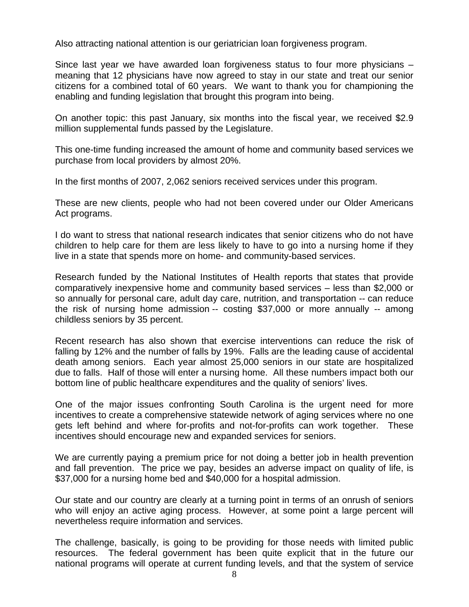Also attracting national attention is our geriatrician loan forgiveness program.

Since last year we have awarded loan forgiveness status to four more physicians – meaning that 12 physicians have now agreed to stay in our state and treat our senior citizens for a combined total of 60 years. We want to thank you for championing the enabling and funding legislation that brought this program into being.

On another topic: this past January, six months into the fiscal year, we received \$2.9 million supplemental funds passed by the Legislature.

This one-time funding increased the amount of home and community based services we purchase from local providers by almost 20%.

In the first months of 2007, 2,062 seniors received services under this program.

These are new clients, people who had not been covered under our Older Americans Act programs.

I do want to stress that national research indicates that senior citizens who do not have children to help care for them are less likely to have to go into a nursing home if they live in a state that spends more on home- and community-based services.

Research funded by the National Institutes of Health reports that states that provide comparatively inexpensive home and community based services – less than \$2,000 or so annually for personal care, adult day care, nutrition, and transportation -- can reduce the risk of nursing home admission -- costing \$37,000 or more annually -- among childless seniors by 35 percent.

Recent research has also shown that exercise interventions can reduce the risk of falling by 12% and the number of falls by 19%. Falls are the leading cause of accidental death among seniors. Each year almost 25,000 seniors in our state are hospitalized due to falls. Half of those will enter a nursing home. All these numbers impact both our bottom line of public healthcare expenditures and the quality of seniors' lives.

One of the major issues confronting South Carolina is the urgent need for more incentives to create a comprehensive statewide network of aging services where no one gets left behind and where for-profits and not-for-profits can work together. These incentives should encourage new and expanded services for seniors.

We are currently paying a premium price for not doing a better job in health prevention and fall prevention. The price we pay, besides an adverse impact on quality of life, is \$37,000 for a nursing home bed and \$40,000 for a hospital admission.

Our state and our country are clearly at a turning point in terms of an onrush of seniors who will enjoy an active aging process. However, at some point a large percent will nevertheless require information and services.

The challenge, basically, is going to be providing for those needs with limited public resources. The federal government has been quite explicit that in the future our national programs will operate at current funding levels, and that the system of service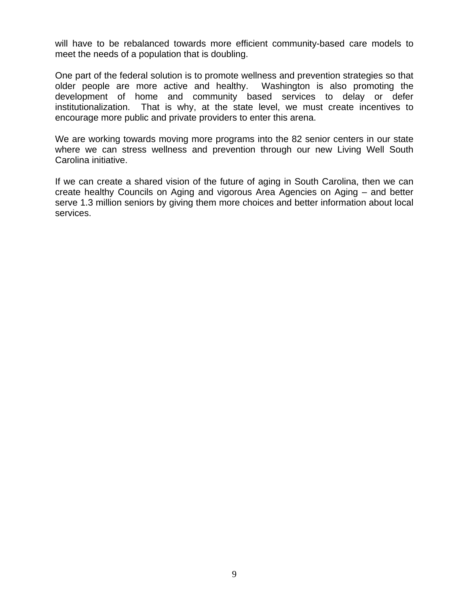will have to be rebalanced towards more efficient community-based care models to meet the needs of a population that is doubling.

One part of the federal solution is to promote wellness and prevention strategies so that older people are more active and healthy. Washington is also promoting the development of home and community based services to delay or defer institutionalization. That is why, at the state level, we must create incentives to encourage more public and private providers to enter this arena.

We are working towards moving more programs into the 82 senior centers in our state where we can stress wellness and prevention through our new Living Well South Carolina initiative.

If we can create a shared vision of the future of aging in South Carolina, then we can create healthy Councils on Aging and vigorous Area Agencies on Aging – and better serve 1.3 million seniors by giving them more choices and better information about local services.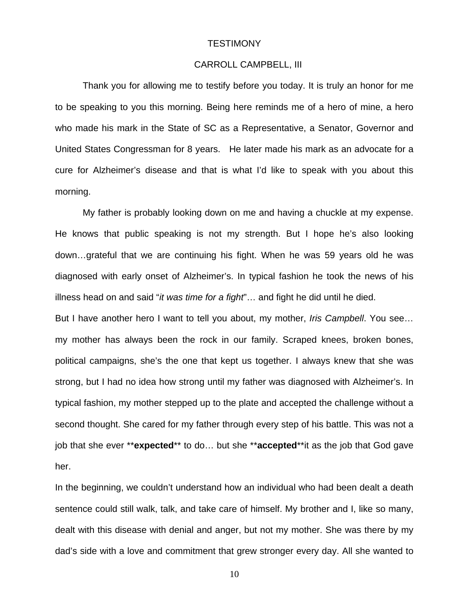#### **TESTIMONY**

#### CARROLL CAMPBELL, III

Thank you for allowing me to testify before you today. It is truly an honor for me to be speaking to you this morning. Being here reminds me of a hero of mine, a hero who made his mark in the State of SC as a Representative, a Senator, Governor and United States Congressman for 8 years. He later made his mark as an advocate for a cure for Alzheimer's disease and that is what I'd like to speak with you about this morning.

 My father is probably looking down on me and having a chuckle at my expense. He knows that public speaking is not my strength. But I hope he's also looking down…grateful that we are continuing his fight. When he was 59 years old he was diagnosed with early onset of Alzheimer's. In typical fashion he took the news of his illness head on and said "*it was time for a fight*"… and fight he did until he died.

But I have another hero I want to tell you about, my mother, *Iris Campbell*. You see… my mother has always been the rock in our family. Scraped knees, broken bones, political campaigns, she's the one that kept us together. I always knew that she was strong, but I had no idea how strong until my father was diagnosed with Alzheimer's. In typical fashion, my mother stepped up to the plate and accepted the challenge without a second thought. She cared for my father through every step of his battle. This was not a job that she ever \*\***expected**\*\* to do… but she \*\***accepted**\*\*it as the job that God gave her.

In the beginning, we couldn't understand how an individual who had been dealt a death sentence could still walk, talk, and take care of himself. My brother and I, like so many, dealt with this disease with denial and anger, but not my mother. She was there by my dad's side with a love and commitment that grew stronger every day. All she wanted to

10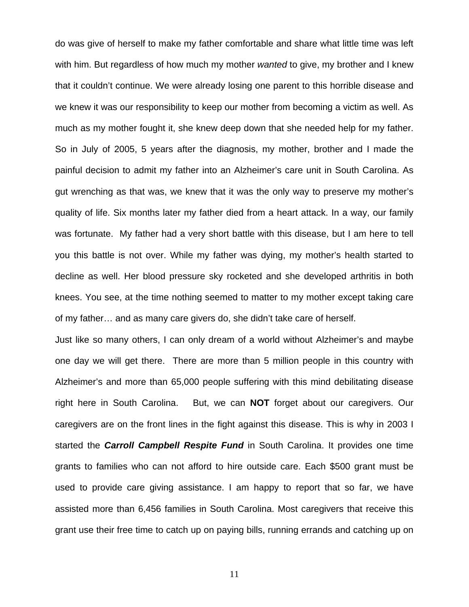do was give of herself to make my father comfortable and share what little time was left with him. But regardless of how much my mother *wanted* to give, my brother and I knew that it couldn't continue. We were already losing one parent to this horrible disease and we knew it was our responsibility to keep our mother from becoming a victim as well. As much as my mother fought it, she knew deep down that she needed help for my father. So in July of 2005, 5 years after the diagnosis, my mother, brother and I made the painful decision to admit my father into an Alzheimer's care unit in South Carolina. As gut wrenching as that was, we knew that it was the only way to preserve my mother's quality of life. Six months later my father died from a heart attack. In a way, our family was fortunate. My father had a very short battle with this disease, but I am here to tell you this battle is not over. While my father was dying, my mother's health started to decline as well. Her blood pressure sky rocketed and she developed arthritis in both knees. You see, at the time nothing seemed to matter to my mother except taking care of my father… and as many care givers do, she didn't take care of herself.

Just like so many others, I can only dream of a world without Alzheimer's and maybe one day we will get there. There are more than 5 million people in this country with Alzheimer's and more than 65,000 people suffering with this mind debilitating disease right here in South Carolina. But, we can **NOT** forget about our caregivers. Our caregivers are on the front lines in the fight against this disease. This is why in 2003 I started the *Carroll Campbell Respite Fund* in South Carolina. It provides one time grants to families who can not afford to hire outside care. Each \$500 grant must be used to provide care giving assistance. I am happy to report that so far, we have assisted more than 6,456 families in South Carolina. Most caregivers that receive this grant use their free time to catch up on paying bills, running errands and catching up on

11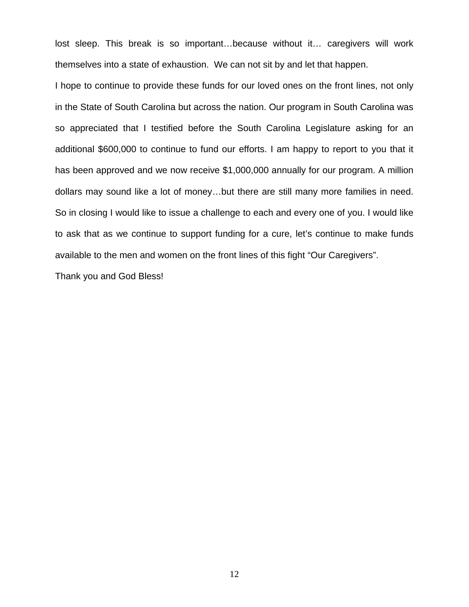lost sleep. This break is so important…because without it… caregivers will work themselves into a state of exhaustion. We can not sit by and let that happen.

I hope to continue to provide these funds for our loved ones on the front lines, not only in the State of South Carolina but across the nation. Our program in South Carolina was so appreciated that I testified before the South Carolina Legislature asking for an additional \$600,000 to continue to fund our efforts. I am happy to report to you that it has been approved and we now receive \$1,000,000 annually for our program. A million dollars may sound like a lot of money…but there are still many more families in need. So in closing I would like to issue a challenge to each and every one of you. I would like to ask that as we continue to support funding for a cure, let's continue to make funds available to the men and women on the front lines of this fight "Our Caregivers".

Thank you and God Bless!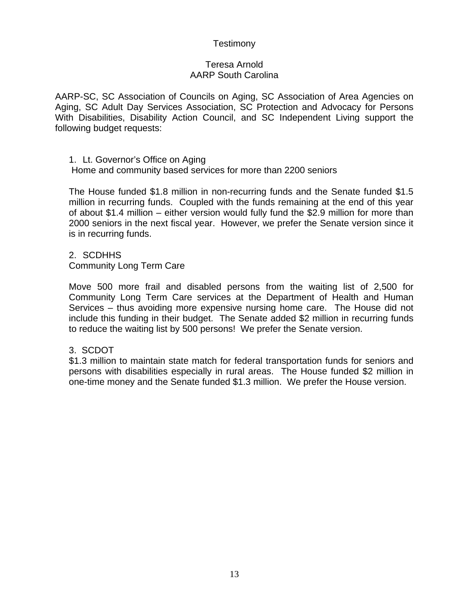#### **Testimony**

#### Teresa Arnold AARP South Carolina

AARP-SC, SC Association of Councils on Aging, SC Association of Area Agencies on Aging, SC Adult Day Services Association, SC Protection and Advocacy for Persons With Disabilities, Disability Action Council, and SC Independent Living support the following budget requests:

1. Lt. Governor's Office on Aging

Home and community based services for more than 2200 seniors

The House funded \$1.8 million in non-recurring funds and the Senate funded \$1.5 million in recurring funds. Coupled with the funds remaining at the end of this year of about \$1.4 million – either version would fully fund the \$2.9 million for more than 2000 seniors in the next fiscal year. However, we prefer the Senate version since it is in recurring funds.

2. SCDHHS

Community Long Term Care

Move 500 more frail and disabled persons from the waiting list of 2,500 for Community Long Term Care services at the Department of Health and Human Services – thus avoiding more expensive nursing home care. The House did not include this funding in their budget. The Senate added \$2 million in recurring funds to reduce the waiting list by 500 persons! We prefer the Senate version.

#### 3. SCDOT

\$1.3 million to maintain state match for federal transportation funds for seniors and persons with disabilities especially in rural areas. The House funded \$2 million in one-time money and the Senate funded \$1.3 million. We prefer the House version.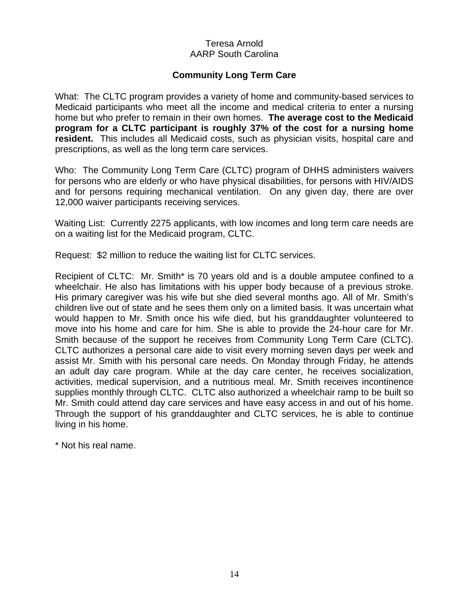#### Teresa Arnold AARP South Carolina

#### **Community Long Term Care**

What: The CLTC program provides a variety of home and community-based services to Medicaid participants who meet all the income and medical criteria to enter a nursing home but who prefer to remain in their own homes. **The average cost to the Medicaid program for a CLTC participant is roughly 37% of the cost for a nursing home resident.** This includes all Medicaid costs, such as physician visits, hospital care and prescriptions, as well as the long term care services.

Who: The Community Long Term Care (CLTC) program of DHHS administers waivers for persons who are elderly or who have physical disabilities, for persons with HIV/AIDS and for persons requiring mechanical ventilation. On any given day, there are over 12,000 waiver participants receiving services.

Waiting List: Currently 2275 applicants, with low incomes and long term care needs are on a waiting list for the Medicaid program, CLTC.

Request: \$2 million to reduce the waiting list for CLTC services.

Recipient of CLTC: Mr. Smith\* is 70 years old and is a double amputee confined to a wheelchair. He also has limitations with his upper body because of a previous stroke. His primary caregiver was his wife but she died several months ago. All of Mr. Smith's children live out of state and he sees them only on a limited basis. It was uncertain what would happen to Mr. Smith once his wife died, but his granddaughter volunteered to move into his home and care for him. She is able to provide the 24-hour care for Mr. Smith because of the support he receives from Community Long Term Care (CLTC). CLTC authorizes a personal care aide to visit every morning seven days per week and assist Mr. Smith with his personal care needs. On Monday through Friday, he attends an adult day care program. While at the day care center, he receives socialization, activities, medical supervision, and a nutritious meal. Mr. Smith receives incontinence supplies monthly through CLTC. CLTC also authorized a wheelchair ramp to be built so Mr. Smith could attend day care services and have easy access in and out of his home. Through the support of his granddaughter and CLTC services, he is able to continue living in his home.

\* Not his real name.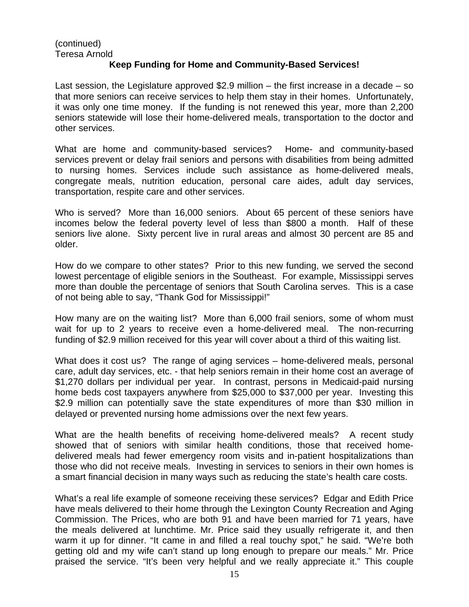#### (continued) Teresa Arnold

#### **Keep Funding for Home and Community-Based Services!**

Last session, the Legislature approved \$2.9 million – the first increase in a decade – so that more seniors can receive services to help them stay in their homes. Unfortunately, it was only one time money. If the funding is not renewed this year, more than 2,200 seniors statewide will lose their home-delivered meals, transportation to the doctor and other services.

What are home and community-based services?Home- and community-based services prevent or delay frail seniors and persons with disabilities from being admitted to nursing homes. Services include such assistance as home-delivered meals, congregate meals, nutrition education, personal care aides, adult day services, transportation, respite care and other services.

Who is served? More than 16,000 seniors. About 65 percent of these seniors have incomes below the federal poverty level of less than \$800 a month. Half of these seniors live alone. Sixty percent live in rural areas and almost 30 percent are 85 and older.

How do we compare to other states?Prior to this new funding, we served the second lowest percentage of eligible seniors in the Southeast. For example, Mississippi serves more than double the percentage of seniors that South Carolina serves. This is a case of not being able to say, "Thank God for Mississippi!"

How many are on the waiting list? More than 6,000 frail seniors, some of whom must wait for up to 2 years to receive even a home-delivered meal. The non-recurring funding of \$2.9 million received for this year will cover about a third of this waiting list.

What does it cost us?The range of aging services – home-delivered meals, personal care, adult day services, etc. - that help seniors remain in their home cost an average of \$1,270 dollars per individual per year. In contrast, persons in Medicaid-paid nursing home beds cost taxpayers anywhere from \$25,000 to \$37,000 per year. Investing this \$2.9 million can potentially save the state expenditures of more than \$30 million in delayed or prevented nursing home admissions over the next few years.

What are the health benefits of receiving home-delivered meals?A recent study showed that of seniors with similar health conditions, those that received homedelivered meals had fewer emergency room visits and in-patient hospitalizations than those who did not receive meals. Investing in services to seniors in their own homes is a smart financial decision in many ways such as reducing the state's health care costs.

What's a real life example of someone receiving these services? Edgar and Edith Price have meals delivered to their home through the Lexington County Recreation and Aging Commission. The Prices, who are both 91 and have been married for 71 years, have the meals delivered at lunchtime. Mr. Price said they usually refrigerate it, and then warm it up for dinner. "It came in and filled a real touchy spot," he said. "We're both getting old and my wife can't stand up long enough to prepare our meals." Mr. Price praised the service. "It's been very helpful and we really appreciate it." This couple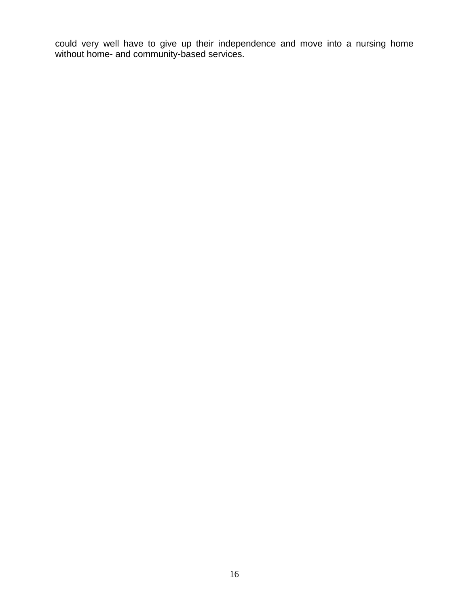could very well have to give up their independence and move into a nursing home without home- and community-based services.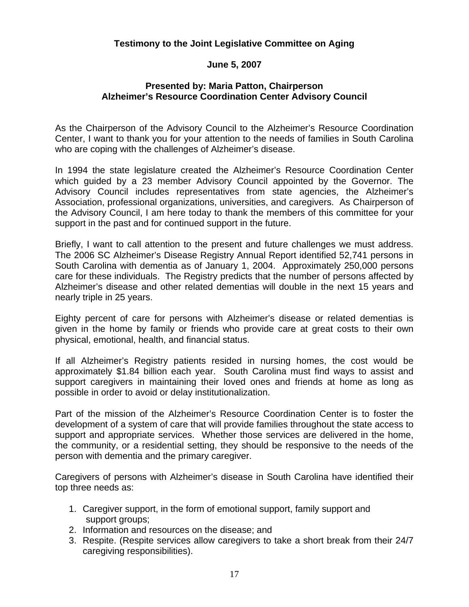#### **Testimony to the Joint Legislative Committee on Aging**

#### **June 5, 2007**

#### **Presented by: Maria Patton, Chairperson Alzheimer's Resource Coordination Center Advisory Council**

As the Chairperson of the Advisory Council to the Alzheimer's Resource Coordination Center, I want to thank you for your attention to the needs of families in South Carolina who are coping with the challenges of Alzheimer's disease.

In 1994 the state legislature created the Alzheimer's Resource Coordination Center which guided by a 23 member Advisory Council appointed by the Governor. The Advisory Council includes representatives from state agencies, the Alzheimer's Association, professional organizations, universities, and caregivers. As Chairperson of the Advisory Council, I am here today to thank the members of this committee for your support in the past and for continued support in the future.

Briefly, I want to call attention to the present and future challenges we must address. The 2006 SC Alzheimer's Disease Registry Annual Report identified 52,741 persons in South Carolina with dementia as of January 1, 2004. Approximately 250,000 persons care for these individuals. The Registry predicts that the number of persons affected by Alzheimer's disease and other related dementias will double in the next 15 years and nearly triple in 25 years.

Eighty percent of care for persons with Alzheimer's disease or related dementias is given in the home by family or friends who provide care at great costs to their own physical, emotional, health, and financial status.

If all Alzheimer's Registry patients resided in nursing homes, the cost would be approximately \$1.84 billion each year. South Carolina must find ways to assist and support caregivers in maintaining their loved ones and friends at home as long as possible in order to avoid or delay institutionalization.

Part of the mission of the Alzheimer's Resource Coordination Center is to foster the development of a system of care that will provide families throughout the state access to support and appropriate services. Whether those services are delivered in the home, the community, or a residential setting, they should be responsive to the needs of the person with dementia and the primary caregiver.

Caregivers of persons with Alzheimer's disease in South Carolina have identified their top three needs as:

- 1. Caregiver support, in the form of emotional support, family support and support groups;
- 2. Information and resources on the disease; and
- 3. Respite. (Respite services allow caregivers to take a short break from their 24/7 caregiving responsibilities).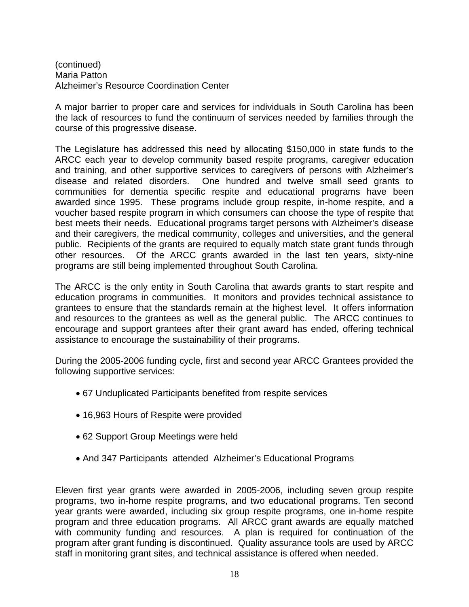(continued) Maria Patton Alzheimer's Resource Coordination Center

A major barrier to proper care and services for individuals in South Carolina has been the lack of resources to fund the continuum of services needed by families through the course of this progressive disease.

The Legislature has addressed this need by allocating \$150,000 in state funds to the ARCC each year to develop community based respite programs, caregiver education and training, and other supportive services to caregivers of persons with Alzheimer's disease and related disorders. One hundred and twelve small seed grants to communities for dementia specific respite and educational programs have been awarded since 1995. These programs include group respite, in-home respite, and a voucher based respite program in which consumers can choose the type of respite that best meets their needs. Educational programs target persons with Alzheimer's disease and their caregivers, the medical community, colleges and universities, and the general public. Recipients of the grants are required to equally match state grant funds through other resources. Of the ARCC grants awarded in the last ten years, sixty-nine programs are still being implemented throughout South Carolina.

The ARCC is the only entity in South Carolina that awards grants to start respite and education programs in communities. It monitors and provides technical assistance to grantees to ensure that the standards remain at the highest level. It offers information and resources to the grantees as well as the general public. The ARCC continues to encourage and support grantees after their grant award has ended, offering technical assistance to encourage the sustainability of their programs.

During the 2005-2006 funding cycle, first and second year ARCC Grantees provided the following supportive services:

- 67 Unduplicated Participants benefited from respite services
- 16,963 Hours of Respite were provided
- 62 Support Group Meetings were held
- And 347 Participants attended Alzheimer's Educational Programs

Eleven first year grants were awarded in 2005-2006, including seven group respite programs, two in-home respite programs, and two educational programs. Ten second year grants were awarded, including six group respite programs, one in-home respite program and three education programs. All ARCC grant awards are equally matched with community funding and resources. A plan is required for continuation of the program after grant funding is discontinued. Quality assurance tools are used by ARCC staff in monitoring grant sites, and technical assistance is offered when needed.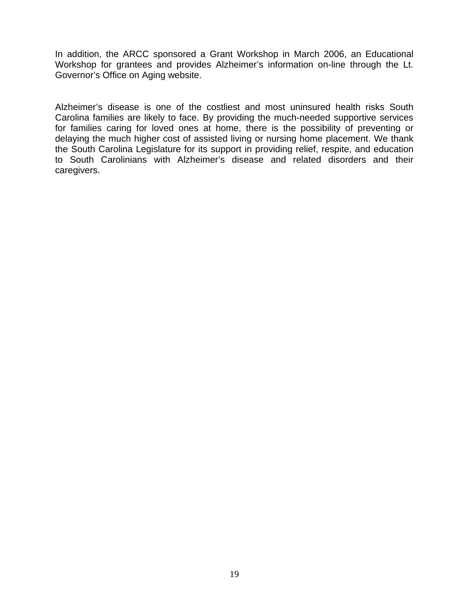In addition, the ARCC sponsored a Grant Workshop in March 2006, an Educational Workshop for grantees and provides Alzheimer's information on-line through the Lt. Governor's Office on Aging website.

Alzheimer's disease is one of the costliest and most uninsured health risks South Carolina families are likely to face. By providing the much-needed supportive services for families caring for loved ones at home, there is the possibility of preventing or delaying the much higher cost of assisted living or nursing home placement. We thank the South Carolina Legislature for its support in providing relief, respite, and education to South Carolinians with Alzheimer's disease and related disorders and their caregivers.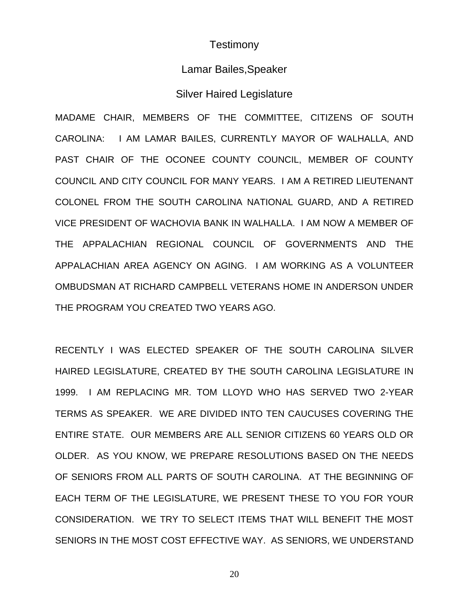### **Testimony**

## Lamar Bailes,Speaker

#### Silver Haired Legislature

MADAME CHAIR, MEMBERS OF THE COMMITTEE, CITIZENS OF SOUTH CAROLINA: I AM LAMAR BAILES, CURRENTLY MAYOR OF WALHALLA, AND PAST CHAIR OF THE OCONEE COUNTY COUNCIL, MEMBER OF COUNTY COUNCIL AND CITY COUNCIL FOR MANY YEARS. I AM A RETIRED LIEUTENANT COLONEL FROM THE SOUTH CAROLINA NATIONAL GUARD, AND A RETIRED VICE PRESIDENT OF WACHOVIA BANK IN WALHALLA. I AM NOW A MEMBER OF THE APPALACHIAN REGIONAL COUNCIL OF GOVERNMENTS AND THE APPALACHIAN AREA AGENCY ON AGING. I AM WORKING AS A VOLUNTEER OMBUDSMAN AT RICHARD CAMPBELL VETERANS HOME IN ANDERSON UNDER THE PROGRAM YOU CREATED TWO YEARS AGO.

RECENTLY I WAS ELECTED SPEAKER OF THE SOUTH CAROLINA SILVER HAIRED LEGISLATURE, CREATED BY THE SOUTH CAROLINA LEGISLATURE IN 1999. I AM REPLACING MR. TOM LLOYD WHO HAS SERVED TWO 2-YEAR TERMS AS SPEAKER. WE ARE DIVIDED INTO TEN CAUCUSES COVERING THE ENTIRE STATE. OUR MEMBERS ARE ALL SENIOR CITIZENS 60 YEARS OLD OR OLDER. AS YOU KNOW, WE PREPARE RESOLUTIONS BASED ON THE NEEDS OF SENIORS FROM ALL PARTS OF SOUTH CAROLINA. AT THE BEGINNING OF EACH TERM OF THE LEGISLATURE, WE PRESENT THESE TO YOU FOR YOUR CONSIDERATION. WE TRY TO SELECT ITEMS THAT WILL BENEFIT THE MOST SENIORS IN THE MOST COST EFFECTIVE WAY. AS SENIORS, WE UNDERSTAND

20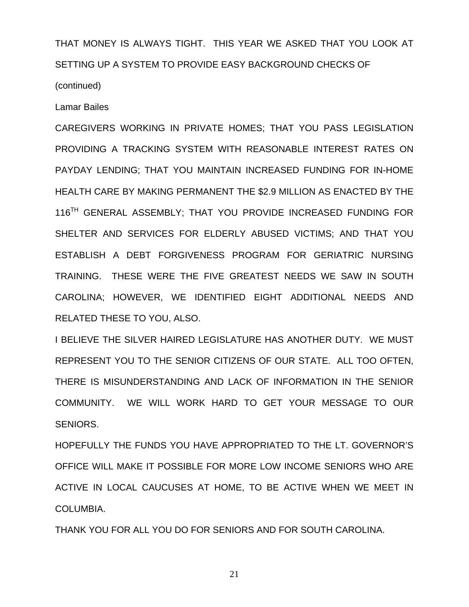THAT MONEY IS ALWAYS TIGHT. THIS YEAR WE ASKED THAT YOU LOOK AT SETTING UP A SYSTEM TO PROVIDE EASY BACKGROUND CHECKS OF

(continued)

Lamar Bailes

CAREGIVERS WORKING IN PRIVATE HOMES; THAT YOU PASS LEGISLATION PROVIDING A TRACKING SYSTEM WITH REASONABLE INTEREST RATES ON PAYDAY LENDING; THAT YOU MAINTAIN INCREASED FUNDING FOR IN-HOME HEALTH CARE BY MAKING PERMANENT THE \$2.9 MILLION AS ENACTED BY THE 116<sup>TH</sup> GENERAL ASSEMBLY; THAT YOU PROVIDE INCREASED FUNDING FOR SHELTER AND SERVICES FOR ELDERLY ABUSED VICTIMS; AND THAT YOU ESTABLISH A DEBT FORGIVENESS PROGRAM FOR GERIATRIC NURSING TRAINING. THESE WERE THE FIVE GREATEST NEEDS WE SAW IN SOUTH CAROLINA; HOWEVER, WE IDENTIFIED EIGHT ADDITIONAL NEEDS AND RELATED THESE TO YOU, ALSO.

I BELIEVE THE SILVER HAIRED LEGISLATURE HAS ANOTHER DUTY. WE MUST REPRESENT YOU TO THE SENIOR CITIZENS OF OUR STATE. ALL TOO OFTEN, THERE IS MISUNDERSTANDING AND LACK OF INFORMATION IN THE SENIOR COMMUNITY. WE WILL WORK HARD TO GET YOUR MESSAGE TO OUR SENIORS.

HOPEFULLY THE FUNDS YOU HAVE APPROPRIATED TO THE LT. GOVERNOR'S OFFICE WILL MAKE IT POSSIBLE FOR MORE LOW INCOME SENIORS WHO ARE ACTIVE IN LOCAL CAUCUSES AT HOME, TO BE ACTIVE WHEN WE MEET IN COLUMBIA.

THANK YOU FOR ALL YOU DO FOR SENIORS AND FOR SOUTH CAROLINA.

21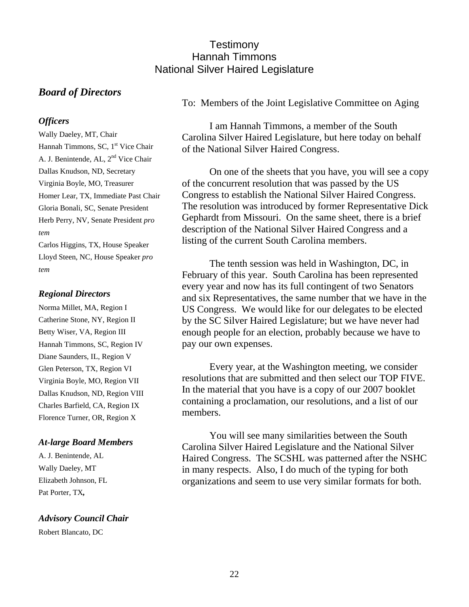## **Testimony** Hannah Timmons National Silver Haired Legislature

## *Board of Directors*

#### *Officers*

Wally Daeley, MT, Chair Hannah Timmons, SC, 1<sup>st</sup> Vice Chair A. J. Benintende, AL, 2nd Vice Chair Dallas Knudson, ND, Secretary Virginia Boyle, MO, Treasurer Homer Lear, TX, Immediate Past Chair Gloria Bonali, SC, Senate President Herb Perry, NV, Senate President *pro tem* Carlos Higgins, TX, House Speaker

Lloyd Steen, NC, House Speaker *pro tem*

#### *Regional Directors*

Norma Millet, MA, Region I Catherine Stone, NY, Region II Betty Wiser, VA, Region III Hannah Timmons, SC, Region IV Diane Saunders, IL, Region V Glen Peterson, TX, Region VI Virginia Boyle, MO, Region VII Dallas Knudson, ND, Region VIII Charles Barfield, CA, Region IX Florence Turner, OR, Region X

#### *At-large Board Members*

A. J. Benintende, AL Wally Daeley, MT Elizabeth Johnson, FL Pat Porter, TX*,* 

*Advisory Council Chair*

Robert Blancato, DC

To: Members of the Joint Legislative Committee on Aging

I am Hannah Timmons, a member of the South Carolina Silver Haired Legislature, but here today on behalf of the National Silver Haired Congress.

On one of the sheets that you have, you will see a copy of the concurrent resolution that was passed by the US Congress to establish the National Silver Haired Congress. The resolution was introduced by former Representative Dick Gephardt from Missouri. On the same sheet, there is a brief description of the National Silver Haired Congress and a listing of the current South Carolina members.

The tenth session was held in Washington, DC, in February of this year. South Carolina has been represented every year and now has its full contingent of two Senators and six Representatives, the same number that we have in the US Congress. We would like for our delegates to be elected by the SC Silver Haired Legislature; but we have never had enough people for an election, probably because we have to pay our own expenses.

Every year, at the Washington meeting, we consider resolutions that are submitted and then select our TOP FIVE. In the material that you have is a copy of our 2007 booklet containing a proclamation, our resolutions, and a list of our members.

You will see many similarities between the South Carolina Silver Haired Legislature and the National Silver Haired Congress. The SCSHL was patterned after the NSHC in many respects. Also, I do much of the typing for both organizations and seem to use very similar formats for both.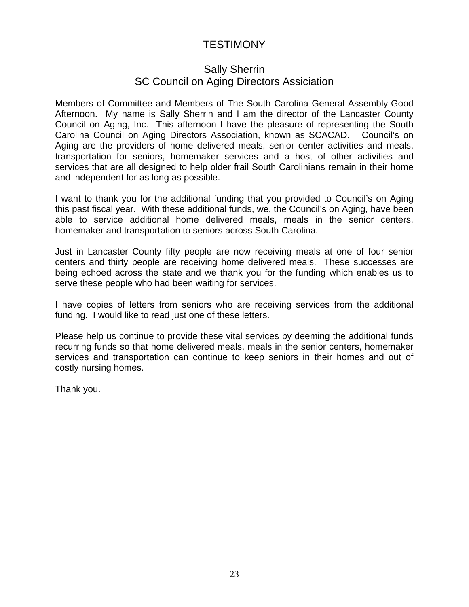## TESTIMONY

## Sally Sherrin SC Council on Aging Directors Assiciation

Members of Committee and Members of The South Carolina General Assembly-Good Afternoon. My name is Sally Sherrin and I am the director of the Lancaster County Council on Aging, Inc. This afternoon I have the pleasure of representing the South Carolina Council on Aging Directors Association, known as SCACAD. Council's on Aging are the providers of home delivered meals, senior center activities and meals, transportation for seniors, homemaker services and a host of other activities and services that are all designed to help older frail South Carolinians remain in their home and independent for as long as possible.

I want to thank you for the additional funding that you provided to Council's on Aging this past fiscal year. With these additional funds, we, the Council's on Aging, have been able to service additional home delivered meals, meals in the senior centers, homemaker and transportation to seniors across South Carolina.

Just in Lancaster County fifty people are now receiving meals at one of four senior centers and thirty people are receiving home delivered meals. These successes are being echoed across the state and we thank you for the funding which enables us to serve these people who had been waiting for services.

I have copies of letters from seniors who are receiving services from the additional funding. I would like to read just one of these letters.

Please help us continue to provide these vital services by deeming the additional funds recurring funds so that home delivered meals, meals in the senior centers, homemaker services and transportation can continue to keep seniors in their homes and out of costly nursing homes.

Thank you.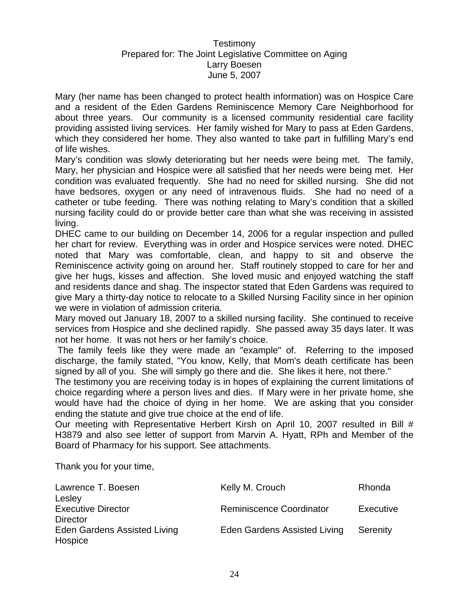#### **Testimony** Prepared for: The Joint Legislative Committee on Aging Larry Boesen June 5, 2007

Mary (her name has been changed to protect health information) was on Hospice Care and a resident of the Eden Gardens Reminiscence Memory Care Neighborhood for about three years. Our community is a licensed community residential care facility providing assisted living services. Her family wished for Mary to pass at Eden Gardens, which they considered her home. They also wanted to take part in fulfilling Mary's end of life wishes.

Mary's condition was slowly deteriorating but her needs were being met. The family, Mary, her physician and Hospice were all satisfied that her needs were being met. Her condition was evaluated frequently. She had no need for skilled nursing. She did not have bedsores, oxygen or any need of intravenous fluids. She had no need of a catheter or tube feeding. There was nothing relating to Mary's condition that a skilled nursing facility could do or provide better care than what she was receiving in assisted living.

DHEC came to our building on December 14, 2006 for a regular inspection and pulled her chart for review. Everything was in order and Hospice services were noted. DHEC noted that Mary was comfortable, clean, and happy to sit and observe the Reminiscence activity going on around her. Staff routinely stopped to care for her and give her hugs, kisses and affection. She loved music and enjoyed watching the staff and residents dance and shag. The inspector stated that Eden Gardens was required to give Mary a thirty-day notice to relocate to a Skilled Nursing Facility since in her opinion we were in violation of admission criteria.

Mary moved out January 18, 2007 to a skilled nursing facility. She continued to receive services from Hospice and she declined rapidly. She passed away 35 days later. It was not her home. It was not hers or her family's choice.

 The family feels like they were made an "example" of. Referring to the imposed discharge, the family stated, "You know, Kelly, that Mom's death certificate has been signed by all of you. She will simply go there and die. She likes it here, not there."

The testimony you are receiving today is in hopes of explaining the current limitations of choice regarding where a person lives and dies. If Mary were in her private home, she would have had the choice of dying in her home. We are asking that you consider ending the statute and give true choice at the end of life.

Our meeting with Representative Herbert Kirsh on April 10, 2007 resulted in Bill # H3879 and also see letter of support from Marvin A. Hyatt, RPh and Member of the Board of Pharmacy for his support. See attachments.

Thank you for your time,

| Lawrence T. Boesen           | Kelly M. Crouch                 | Rhonda    |
|------------------------------|---------------------------------|-----------|
| Lesley                       |                                 |           |
| <b>Executive Director</b>    | <b>Reminiscence Coordinator</b> | Executive |
| <b>Director</b>              |                                 |           |
| Eden Gardens Assisted Living | Eden Gardens Assisted Living    | Serenity  |
| Hospice                      |                                 |           |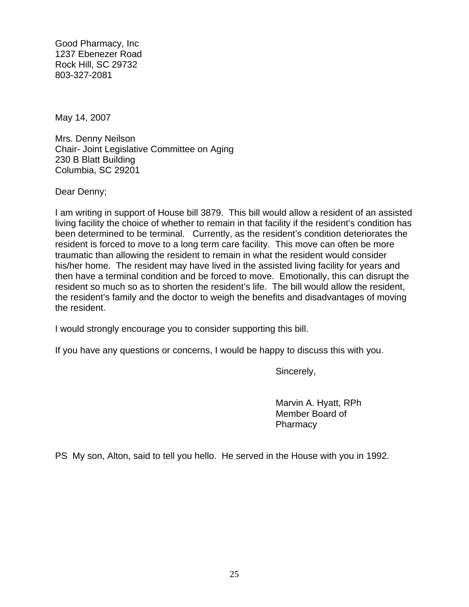Good Pharmacy, Inc 1237 Ebenezer Road Rock Hill, SC 29732 803-327-2081

May 14, 2007

Mrs. Denny Neilson Chair- Joint Legislative Committee on Aging 230 B Blatt Building Columbia, SC 29201

Dear Denny;

I am writing in support of House bill 3879. This bill would allow a resident of an assisted living facility the choice of whether to remain in that facility if the resident's condition has been determined to be terminal. Currently, as the resident's condition deteriorates the resident is forced to move to a long term care facility. This move can often be more traumatic than allowing the resident to remain in what the resident would consider his/her home. The resident may have lived in the assisted living facility for years and then have a terminal condition and be forced to move. Emotionally, this can disrupt the resident so much so as to shorten the resident's life. The bill would allow the resident, the resident's family and the doctor to weigh the benefits and disadvantages of moving the resident.

I would strongly encourage you to consider supporting this bill.

If you have any questions or concerns, I would be happy to discuss this with you.

Sincerely,

 Marvin A. Hyatt, RPh Member Board of **Pharmacy** 

PS My son, Alton, said to tell you hello. He served in the House with you in 1992.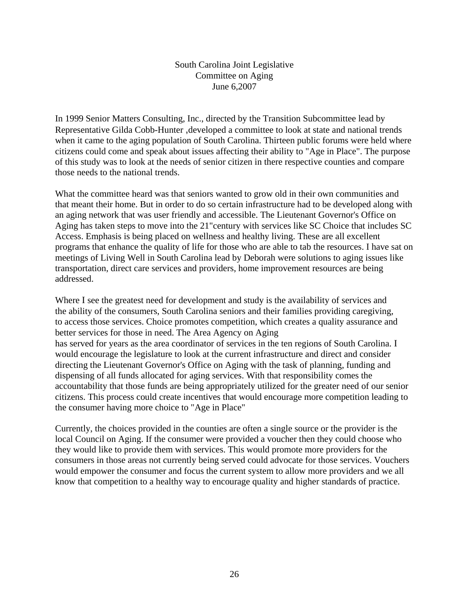South Carolina Joint Legislative Committee on Aging June 6,2007

In 1999 Senior Matters Consulting, Inc., directed by the Transition Subcommittee lead by Representative Gilda Cobb-Hunter ,developed a committee to look at state and national trends when it came to the aging population of South Carolina. Thirteen public forums were held where citizens could come and speak about issues affecting their ability to "Age in Place". The purpose of this study was to look at the needs of senior citizen in there respective counties and compare those needs to the national trends.

What the committee heard was that seniors wanted to grow old in their own communities and that meant their home. But in order to do so certain infrastructure had to be developed along with an aging network that was user friendly and accessible. The Lieutenant Governor's Office on Aging has taken steps to move into the 21"century with services like SC Choice that includes SC Access. Emphasis is being placed on wellness and healthy living. These are all excellent programs that enhance the quality of life for those who are able to tab the resources. I have sat on meetings of Living Well in South Carolina lead by Deborah were solutions to aging issues like transportation, direct care services and providers, home improvement resources are being addressed.

Where I see the greatest need for development and study is the availability of services and the ability of the consumers, South Carolina seniors and their families providing caregiving, to access those services. Choice promotes competition, which creates a quality assurance and better services for those in need. The Area Agency on Aging has served for years as the area coordinator of services in the ten regions of South Carolina. I would encourage the legislature to look at the current infrastructure and direct and consider directing the Lieutenant Governor's Office on Aging with the task of planning, funding and dispensing of all funds allocated for aging services. With that responsibility comes the accountability that those funds are being appropriately utilized for the greater need of our senior citizens. This process could create incentives that would encourage more competition leading to the consumer having more choice to "Age in Place"

Currently, the choices provided in the counties are often a single source or the provider is the local Council on Aging. If the consumer were provided a voucher then they could choose who they would like to provide them with services. This would promote more providers for the consumers in those areas not currently being served could advocate for those services. Vouchers would empower the consumer and focus the current system to allow more providers and we all know that competition to a healthy way to encourage quality and higher standards of practice.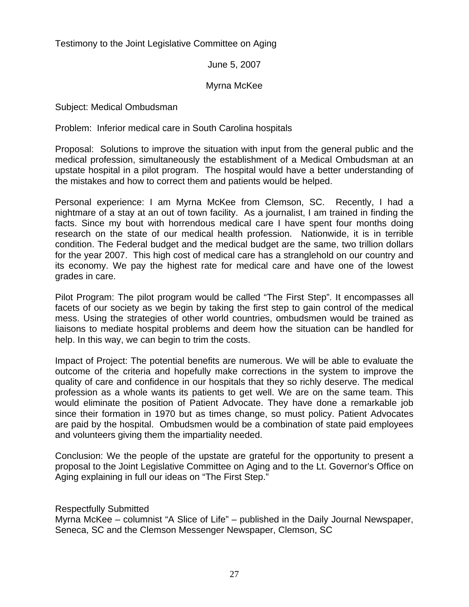Testimony to the Joint Legislative Committee on Aging

June 5, 2007

#### Myrna McKee

Subject: Medical Ombudsman

Problem: Inferior medical care in South Carolina hospitals

Proposal: Solutions to improve the situation with input from the general public and the medical profession, simultaneously the establishment of a Medical Ombudsman at an upstate hospital in a pilot program. The hospital would have a better understanding of the mistakes and how to correct them and patients would be helped.

Personal experience: I am Myrna McKee from Clemson, SC. Recently, I had a nightmare of a stay at an out of town facility. As a journalist, I am trained in finding the facts. Since my bout with horrendous medical care I have spent four months doing research on the state of our medical health profession. Nationwide, it is in terrible condition. The Federal budget and the medical budget are the same, two trillion dollars for the year 2007. This high cost of medical care has a stranglehold on our country and its economy. We pay the highest rate for medical care and have one of the lowest grades in care.

Pilot Program: The pilot program would be called "The First Step". It encompasses all facets of our society as we begin by taking the first step to gain control of the medical mess. Using the strategies of other world countries, ombudsmen would be trained as liaisons to mediate hospital problems and deem how the situation can be handled for help. In this way, we can begin to trim the costs.

Impact of Project: The potential benefits are numerous. We will be able to evaluate the outcome of the criteria and hopefully make corrections in the system to improve the quality of care and confidence in our hospitals that they so richly deserve. The medical profession as a whole wants its patients to get well. We are on the same team. This would eliminate the position of Patient Advocate. They have done a remarkable job since their formation in 1970 but as times change, so must policy. Patient Advocates are paid by the hospital. Ombudsmen would be a combination of state paid employees and volunteers giving them the impartiality needed.

Conclusion: We the people of the upstate are grateful for the opportunity to present a proposal to the Joint Legislative Committee on Aging and to the Lt. Governor's Office on Aging explaining in full our ideas on "The First Step."

Respectfully Submitted

Myrna McKee – columnist "A Slice of Life" – published in the Daily Journal Newspaper, Seneca, SC and the Clemson Messenger Newspaper, Clemson, SC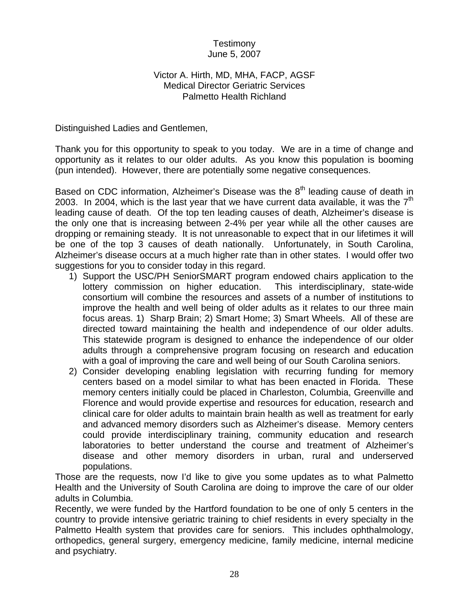#### Testimony June 5, 2007

#### Victor A. Hirth, MD, MHA, FACP, AGSF Medical Director Geriatric Services Palmetto Health Richland

Distinguished Ladies and Gentlemen,

Thank you for this opportunity to speak to you today. We are in a time of change and opportunity as it relates to our older adults. As you know this population is booming (pun intended). However, there are potentially some negative consequences.

Based on CDC information, Alzheimer's Disease was the  $8<sup>th</sup>$  leading cause of death in 2003. In 2004, which is the last year that we have current data available, it was the  $7<sup>th</sup>$ leading cause of death. Of the top ten leading causes of death, Alzheimer's disease is the only one that is increasing between 2-4% per year while all the other causes are dropping or remaining steady. It is not unreasonable to expect that in our lifetimes it will be one of the top 3 causes of death nationally. Unfortunately, in South Carolina, Alzheimer's disease occurs at a much higher rate than in other states. I would offer two suggestions for you to consider today in this regard.

- 1) Support the USC/PH SeniorSMART program endowed chairs application to the lottery commission on higher education. This interdisciplinary, state-wide consortium will combine the resources and assets of a number of institutions to improve the health and well being of older adults as it relates to our three main focus areas. 1) Sharp Brain; 2) Smart Home; 3) Smart Wheels. All of these are directed toward maintaining the health and independence of our older adults. This statewide program is designed to enhance the independence of our older adults through a comprehensive program focusing on research and education with a goal of improving the care and well being of our South Carolina seniors.
- 2) Consider developing enabling legislation with recurring funding for memory centers based on a model similar to what has been enacted in Florida. These memory centers initially could be placed in Charleston, Columbia, Greenville and Florence and would provide expertise and resources for education, research and clinical care for older adults to maintain brain health as well as treatment for early and advanced memory disorders such as Alzheimer's disease. Memory centers could provide interdisciplinary training, community education and research laboratories to better understand the course and treatment of Alzheimer's disease and other memory disorders in urban, rural and underserved populations.

Those are the requests, now I'd like to give you some updates as to what Palmetto Health and the University of South Carolina are doing to improve the care of our older adults in Columbia.

Recently, we were funded by the Hartford foundation to be one of only 5 centers in the country to provide intensive geriatric training to chief residents in every specialty in the Palmetto Health system that provides care for seniors. This includes ophthalmology, orthopedics, general surgery, emergency medicine, family medicine, internal medicine and psychiatry.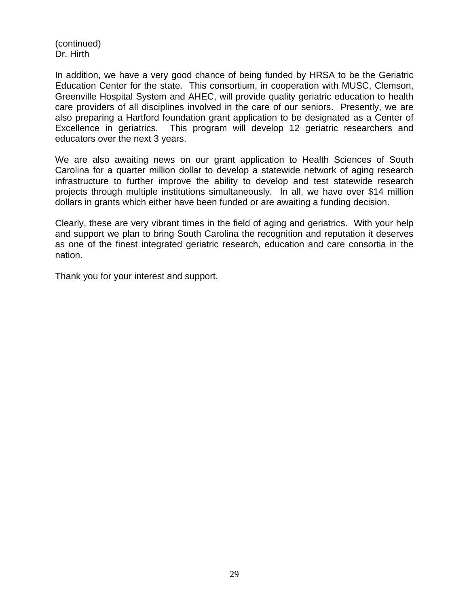(continued) Dr. Hirth

In addition, we have a very good chance of being funded by HRSA to be the Geriatric Education Center for the state. This consortium, in cooperation with MUSC, Clemson, Greenville Hospital System and AHEC, will provide quality geriatric education to health care providers of all disciplines involved in the care of our seniors. Presently, we are also preparing a Hartford foundation grant application to be designated as a Center of Excellence in geriatrics. This program will develop 12 geriatric researchers and educators over the next 3 years.

We are also awaiting news on our grant application to Health Sciences of South Carolina for a quarter million dollar to develop a statewide network of aging research infrastructure to further improve the ability to develop and test statewide research projects through multiple institutions simultaneously. In all, we have over \$14 million dollars in grants which either have been funded or are awaiting a funding decision.

Clearly, these are very vibrant times in the field of aging and geriatrics. With your help and support we plan to bring South Carolina the recognition and reputation it deserves as one of the finest integrated geriatric research, education and care consortia in the nation.

Thank you for your interest and support.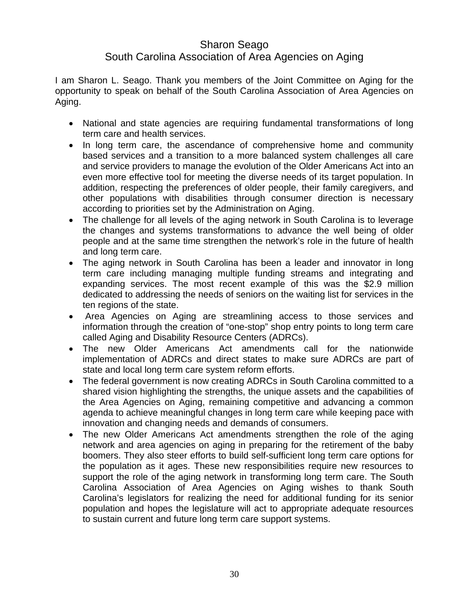## Sharon Seago

## South Carolina Association of Area Agencies on Aging

I am Sharon L. Seago. Thank you members of the Joint Committee on Aging for the opportunity to speak on behalf of the South Carolina Association of Area Agencies on Aging.

- National and state agencies are requiring fundamental transformations of long term care and health services.
- In long term care, the ascendance of comprehensive home and community based services and a transition to a more balanced system challenges all care and service providers to manage the evolution of the Older Americans Act into an even more effective tool for meeting the diverse needs of its target population. In addition, respecting the preferences of older people, their family caregivers, and other populations with disabilities through consumer direction is necessary according to priorities set by the Administration on Aging.
- The challenge for all levels of the aging network in South Carolina is to leverage the changes and systems transformations to advance the well being of older people and at the same time strengthen the network's role in the future of health and long term care.
- The aging network in South Carolina has been a leader and innovator in long term care including managing multiple funding streams and integrating and expanding services. The most recent example of this was the \$2.9 million dedicated to addressing the needs of seniors on the waiting list for services in the ten regions of the state.
- Area Agencies on Aging are streamlining access to those services and information through the creation of "one-stop" shop entry points to long term care called Aging and Disability Resource Centers (ADRCs).
- The new Older Americans Act amendments call for the nationwide implementation of ADRCs and direct states to make sure ADRCs are part of state and local long term care system reform efforts.
- The federal government is now creating ADRCs in South Carolina committed to a shared vision highlighting the strengths, the unique assets and the capabilities of the Area Agencies on Aging, remaining competitive and advancing a common agenda to achieve meaningful changes in long term care while keeping pace with innovation and changing needs and demands of consumers.
- The new Older Americans Act amendments strengthen the role of the aging network and area agencies on aging in preparing for the retirement of the baby boomers. They also steer efforts to build self-sufficient long term care options for the population as it ages. These new responsibilities require new resources to support the role of the aging network in transforming long term care. The South Carolina Association of Area Agencies on Aging wishes to thank South Carolina's legislators for realizing the need for additional funding for its senior population and hopes the legislature will act to appropriate adequate resources to sustain current and future long term care support systems.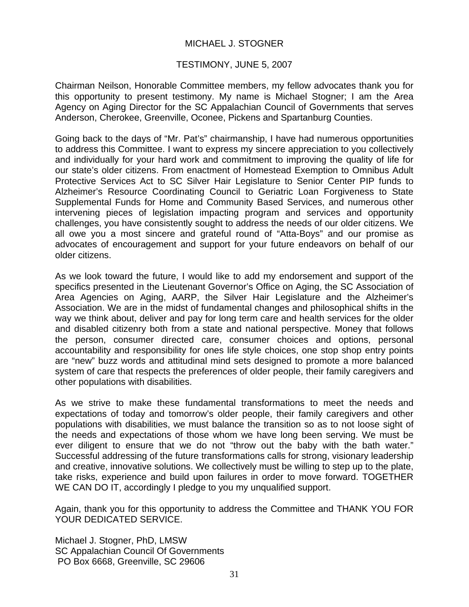#### MICHAEL J. STOGNER

#### TESTIMONY, JUNE 5, 2007

Chairman Neilson, Honorable Committee members, my fellow advocates thank you for this opportunity to present testimony. My name is Michael Stogner; I am the Area Agency on Aging Director for the SC Appalachian Council of Governments that serves Anderson, Cherokee, Greenville, Oconee, Pickens and Spartanburg Counties.

Going back to the days of "Mr. Pat's" chairmanship, I have had numerous opportunities to address this Committee. I want to express my sincere appreciation to you collectively and individually for your hard work and commitment to improving the quality of life for our state's older citizens. From enactment of Homestead Exemption to Omnibus Adult Protective Services Act to SC Silver Hair Legislature to Senior Center PIP funds to Alzheimer's Resource Coordinating Council to Geriatric Loan Forgiveness to State Supplemental Funds for Home and Community Based Services, and numerous other intervening pieces of legislation impacting program and services and opportunity challenges, you have consistently sought to address the needs of our older citizens. We all owe you a most sincere and grateful round of "Atta-Boys" and our promise as advocates of encouragement and support for your future endeavors on behalf of our older citizens.

As we look toward the future, I would like to add my endorsement and support of the specifics presented in the Lieutenant Governor's Office on Aging, the SC Association of Area Agencies on Aging, AARP, the Silver Hair Legislature and the Alzheimer's Association. We are in the midst of fundamental changes and philosophical shifts in the way we think about, deliver and pay for long term care and health services for the older and disabled citizenry both from a state and national perspective. Money that follows the person, consumer directed care, consumer choices and options, personal accountability and responsibility for ones life style choices, one stop shop entry points are "new" buzz words and attitudinal mind sets designed to promote a more balanced system of care that respects the preferences of older people, their family caregivers and other populations with disabilities.

As we strive to make these fundamental transformations to meet the needs and expectations of today and tomorrow's older people, their family caregivers and other populations with disabilities, we must balance the transition so as to not loose sight of the needs and expectations of those whom we have long been serving. We must be ever diligent to ensure that we do not "throw out the baby with the bath water." Successful addressing of the future transformations calls for strong, visionary leadership and creative, innovative solutions. We collectively must be willing to step up to the plate, take risks, experience and build upon failures in order to move forward. TOGETHER WE CAN DO IT, accordingly I pledge to you my unqualified support.

Again, thank you for this opportunity to address the Committee and THANK YOU FOR YOUR DEDICATED SERVICE.

Michael J. Stogner, PhD, LMSW SC Appalachian Council Of Governments PO Box 6668, Greenville, SC 29606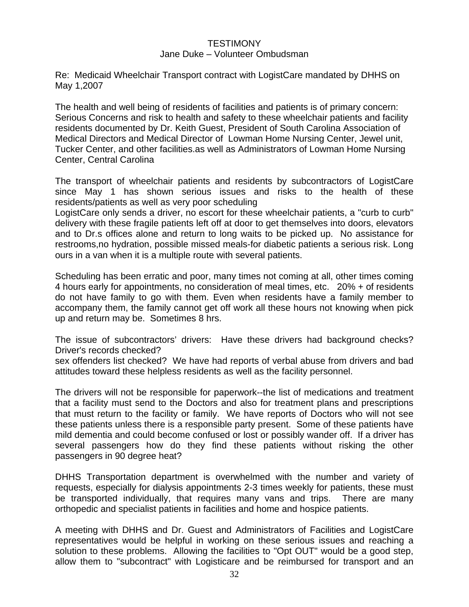#### **TESTIMONY**

#### Jane Duke – Volunteer Ombudsman

Re: Medicaid Wheelchair Transport contract with LogistCare mandated by DHHS on May 1,2007

The health and well being of residents of facilities and patients is of primary concern: Serious Concerns and risk to health and safety to these wheelchair patients and facility residents documented by Dr. Keith Guest, President of South Carolina Association of Medical Directors and Medical Director of Lowman Home Nursing Center, Jewel unit, Tucker Center, and other facilities.as well as Administrators of Lowman Home Nursing Center, Central Carolina

The transport of wheelchair patients and residents by subcontractors of LogistCare since May 1 has shown serious issues and risks to the health of these residents/patients as well as very poor scheduling

LogistCare only sends a driver, no escort for these wheelchair patients, a "curb to curb" delivery with these fragile patients left off at door to get themselves into doors, elevators and to Dr.s offices alone and return to long waits to be picked up. No assistance for restrooms,no hydration, possible missed meals-for diabetic patients a serious risk. Long ours in a van when it is a multiple route with several patients.

Scheduling has been erratic and poor, many times not coming at all, other times coming 4 hours early for appointments, no consideration of meal times, etc. 20% + of residents do not have family to go with them. Even when residents have a family member to accompany them, the family cannot get off work all these hours not knowing when pick up and return may be. Sometimes 8 hrs.

The issue of subcontractors' drivers: Have these drivers had background checks? Driver's records checked?

sex offenders list checked? We have had reports of verbal abuse from drivers and bad attitudes toward these helpless residents as well as the facility personnel.

The drivers will not be responsible for paperwork--the list of medications and treatment that a facility must send to the Doctors and also for treatment plans and prescriptions that must return to the facility or family. We have reports of Doctors who will not see these patients unless there is a responsible party present. Some of these patients have mild dementia and could become confused or lost or possibly wander off. If a driver has several passengers how do they find these patients without risking the other passengers in 90 degree heat?

DHHS Transportation department is overwhelmed with the number and variety of requests, especially for dialysis appointments 2-3 times weekly for patients, these must be transported individually, that requires many vans and trips. There are many orthopedic and specialist patients in facilities and home and hospice patients.

A meeting with DHHS and Dr. Guest and Administrators of Facilities and LogistCare representatives would be helpful in working on these serious issues and reaching a solution to these problems. Allowing the facilities to "Opt OUT" would be a good step, allow them to "subcontract" with Logisticare and be reimbursed for transport and an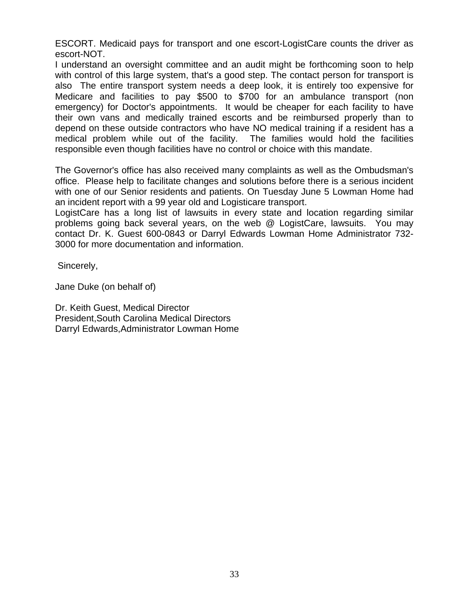ESCORT. Medicaid pays for transport and one escort-LogistCare counts the driver as escort-NOT.

I understand an oversight committee and an audit might be forthcoming soon to help with control of this large system, that's a good step. The contact person for transport is also The entire transport system needs a deep look, it is entirely too expensive for Medicare and facilities to pay \$500 to \$700 for an ambulance transport (non emergency) for Doctor's appointments. It would be cheaper for each facility to have their own vans and medically trained escorts and be reimbursed properly than to depend on these outside contractors who have NO medical training if a resident has a medical problem while out of the facility. The families would hold the facilities responsible even though facilities have no control or choice with this mandate.

The Governor's office has also received many complaints as well as the Ombudsman's office. Please help to facilitate changes and solutions before there is a serious incident with one of our Senior residents and patients. On Tuesday June 5 Lowman Home had an incident report with a 99 year old and Logisticare transport.

LogistCare has a long list of lawsuits in every state and location regarding similar problems going back several years, on the web @ LogistCare, lawsuits. You may contact Dr. K. Guest 600-0843 or Darryl Edwards Lowman Home Administrator 732- 3000 for more documentation and information.

Sincerely,

Jane Duke (on behalf of)

Dr. Keith Guest, Medical Director President,South Carolina Medical Directors Darryl Edwards,Administrator Lowman Home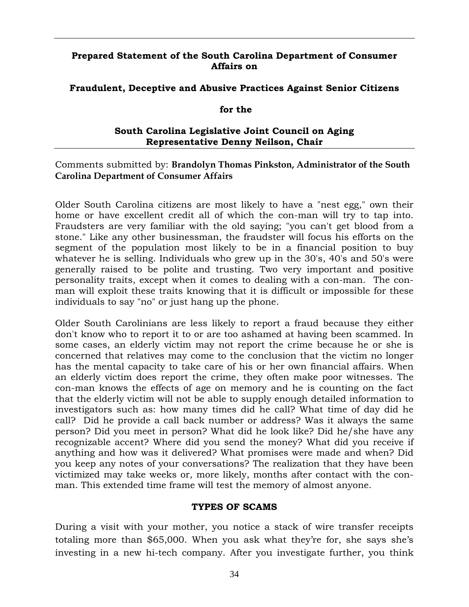#### **Prepared Statement of the South Carolina Department of Consumer Affairs on**

#### **Fraudulent, Deceptive and Abusive Practices Against Senior Citizens**

#### **for the**

#### **South Carolina Legislative Joint Council on Aging Representative Denny Neilson, Chair**

#### Comments submitted by: **Brandolyn Thomas Pinkston, Administrator of the South Carolina Department of Consumer Affairs**

Older South Carolina citizens are most likely to have a "nest egg," own their home or have excellent credit all of which the con-man will try to tap into. Fraudsters are very familiar with the old saying; "you can't get blood from a stone." Like any other businessman, the fraudster will focus his efforts on the segment of the population most likely to be in a financial position to buy whatever he is selling. Individuals who grew up in the 30's, 40's and 50's were generally raised to be polite and trusting. Two very important and positive personality traits, except when it comes to dealing with a con-man. The conman will exploit these traits knowing that it is difficult or impossible for these individuals to say "no" or just hang up the phone.

Older South Carolinians are less likely to report a fraud because they either don't know who to report it to or are too ashamed at having been scammed. In some cases, an elderly victim may not report the crime because he or she is concerned that relatives may come to the conclusion that the victim no longer has the mental capacity to take care of his or her own financial affairs. When an elderly victim does report the crime, they often make poor witnesses. The con-man knows the effects of age on memory and he is counting on the fact that the elderly victim will not be able to supply enough detailed information to investigators such as: how many times did he call? What time of day did he call? Did he provide a call back number or address? Was it always the same person? Did you meet in person? What did he look like? Did he/she have any recognizable accent? Where did you send the money? What did you receive if anything and how was it delivered? What promises were made and when? Did you keep any notes of your conversations? The realization that they have been victimized may take weeks or, more likely, months after contact with the conman. This extended time frame will test the memory of almost anyone.

#### **TYPES OF SCAMS**

During a visit with your mother, you notice a stack of wire transfer receipts totaling more than \$65,000. When you ask what they're for, she says she's investing in a new hi-tech company. After you investigate further, you think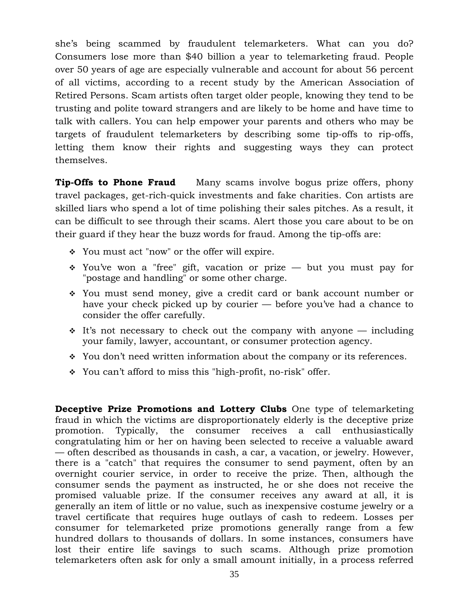she's being scammed by fraudulent telemarketers. What can you do? Consumers lose more than \$40 billion a year to telemarketing fraud. People over 50 years of age are especially vulnerable and account for about 56 percent of all victims, according to a recent study by the American Association of Retired Persons. Scam artists often target older people, knowing they tend to be trusting and polite toward strangers and are likely to be home and have time to talk with callers. You can help empower your parents and others who may be targets of fraudulent telemarketers by describing some tip-offs to rip-offs, letting them know their rights and suggesting ways they can protect themselves.

**Tip-Offs to Phone Fraud** Many scams involve bogus prize offers, phony travel packages, get-rich-quick investments and fake charities. Con artists are skilled liars who spend a lot of time polishing their sales pitches. As a result, it can be difficult to see through their scams. Alert those you care about to be on their guard if they hear the buzz words for fraud. Among the tip-offs are:

- \* You must act "now" or the offer will expire.
- $\cdot$  You've won a "free" gift, vacation or prize but you must pay for "postage and handling" or some other charge.
- You must send money, give a credit card or bank account number or have your check picked up by courier — before you've had a chance to consider the offer carefully.
- $\cdot$  It's not necessary to check out the company with anyone including your family, lawyer, accountant, or consumer protection agency.
- You don't need written information about the company or its references.
- You can't afford to miss this "high-profit, no-risk" offer.

**Deceptive Prize Promotions and Lottery Clubs** One type of telemarketing fraud in which the victims are disproportionately elderly is the deceptive prize promotion. Typically, the consumer receives a call enthusiastically congratulating him or her on having been selected to receive a valuable award — often described as thousands in cash, a car, a vacation, or jewelry. However, there is a "catch" that requires the consumer to send payment, often by an overnight courier service, in order to receive the prize. Then, although the consumer sends the payment as instructed, he or she does not receive the promised valuable prize. If the consumer receives any award at all, it is generally an item of little or no value, such as inexpensive costume jewelry or a travel certificate that requires huge outlays of cash to redeem. Losses per consumer for telemarketed prize promotions generally range from a few hundred dollars to thousands of dollars. In some instances, consumers have lost their entire life savings to such scams. Although prize promotion telemarketers often ask for only a small amount initially, in a process referred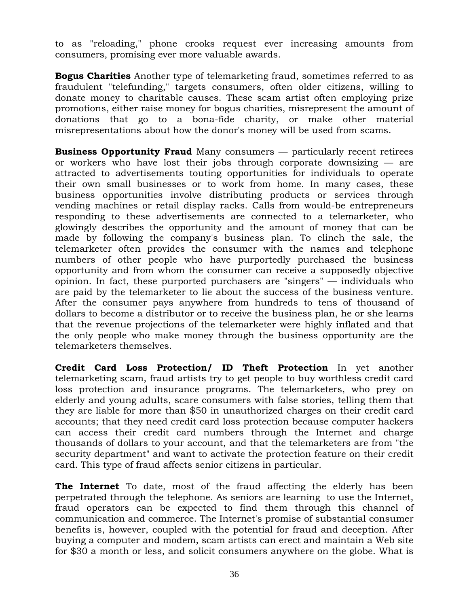to as "reloading," phone crooks request ever increasing amounts from consumers, promising ever more valuable awards.

**Bogus Charities** Another type of telemarketing fraud, sometimes referred to as fraudulent "telefunding," targets consumers, often older citizens, willing to donate money to charitable causes. These scam artist often employing prize promotions, either raise money for bogus charities, misrepresent the amount of donations that go to a bona-fide charity, or make other material misrepresentations about how the donor's money will be used from scams.

**Business Opportunity Fraud** Many consumers — particularly recent retirees or workers who have lost their jobs through corporate downsizing — are attracted to advertisements touting opportunities for individuals to operate their own small businesses or to work from home. In many cases, these business opportunities involve distributing products or services through vending machines or retail display racks. Calls from would-be entrepreneurs responding to these advertisements are connected to a telemarketer, who glowingly describes the opportunity and the amount of money that can be made by following the company's business plan. To clinch the sale, the telemarketer often provides the consumer with the names and telephone numbers of other people who have purportedly purchased the business opportunity and from whom the consumer can receive a supposedly objective opinion. In fact, these purported purchasers are "singers" — individuals who are paid by the telemarketer to lie about the success of the business venture. After the consumer pays anywhere from hundreds to tens of thousand of dollars to become a distributor or to receive the business plan, he or she learns that the revenue projections of the telemarketer were highly inflated and that the only people who make money through the business opportunity are the telemarketers themselves.

**Credit Card Loss Protection/ ID Theft Protection** In yet another telemarketing scam, fraud artists try to get people to buy worthless credit card loss protection and insurance programs. The telemarketers, who prey on elderly and young adults, scare consumers with false stories, telling them that they are liable for more than \$50 in unauthorized charges on their credit card accounts; that they need credit card loss protection because computer hackers can access their credit card numbers through the Internet and charge thousands of dollars to your account, and that the telemarketers are from "the security department" and want to activate the protection feature on their credit card. This type of fraud affects senior citizens in particular.

**The Internet** To date, most of the fraud affecting the elderly has been perpetrated through the telephone. As seniors are learning to use the Internet, fraud operators can be expected to find them through this channel of communication and commerce. The Internet's promise of substantial consumer benefits is, however, coupled with the potential for fraud and deception. After buying a computer and modem, scam artists can erect and maintain a Web site for \$30 a month or less, and solicit consumers anywhere on the globe. What is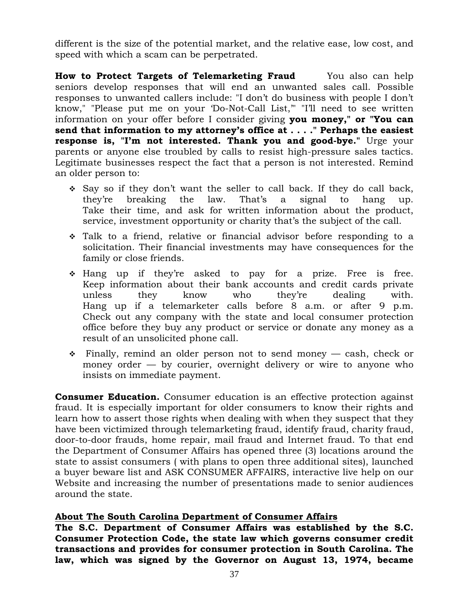different is the size of the potential market, and the relative ease, low cost, and speed with which a scam can be perpetrated.

**How to Protect Targets of Telemarketing Fraud** You also can help seniors develop responses that will end an unwanted sales call. Possible responses to unwanted callers include: "I don't do business with people I don't know," "Please put me on your 'Do-Not-Call List,'" "I'll need to see written information on your offer before I consider giving **you money," or "You can send that information to my attorney's office at . . . ." Perhaps the easiest response is, "I'm not interested. Thank you and good-bye."** Urge your parents or anyone else troubled by calls to resist high-pressure sales tactics. Legitimate businesses respect the fact that a person is not interested. Remind an older person to:

- $\div$  Say so if they don't want the seller to call back. If they do call back, they're breaking the law. That's a signal to hang up. Take their time, and ask for written information about the product, service, investment opportunity or charity that's the subject of the call.
- Talk to a friend, relative or financial advisor before responding to a solicitation. Their financial investments may have consequences for the family or close friends.
- Hang up if they're asked to pay for a prize. Free is free. Keep information about their bank accounts and credit cards private unless they know who they're dealing with. Hang up if a telemarketer calls before 8 a.m. or after 9 p.m. Check out any company with the state and local consumer protection office before they buy any product or service or donate any money as a result of an unsolicited phone call.
- $\hat{P}$  Finally, remind an older person not to send money cash, check or money order — by courier, overnight delivery or wire to anyone who insists on immediate payment.

**Consumer Education.** Consumer education is an effective protection against fraud. It is especially important for older consumers to know their rights and learn how to assert those rights when dealing with when they suspect that they have been victimized through telemarketing fraud, identify fraud, charity fraud, door-to-door frauds, home repair, mail fraud and Internet fraud. To that end the Department of Consumer Affairs has opened three (3) locations around the state to assist consumers ( with plans to open three additional sites), launched a buyer beware list and ASK CONSUMER AFFAIRS, interactive live help on our Website and increasing the number of presentations made to senior audiences around the state.

#### **About The South Carolina Department of Consumer Affairs**

**The S.C. Department of Consumer Affairs was established by the S.C. Consumer Protection Code, the state law which governs consumer credit transactions and provides for consumer protection in South Carolina. The law, which was signed by the Governor on August 13, 1974, became**